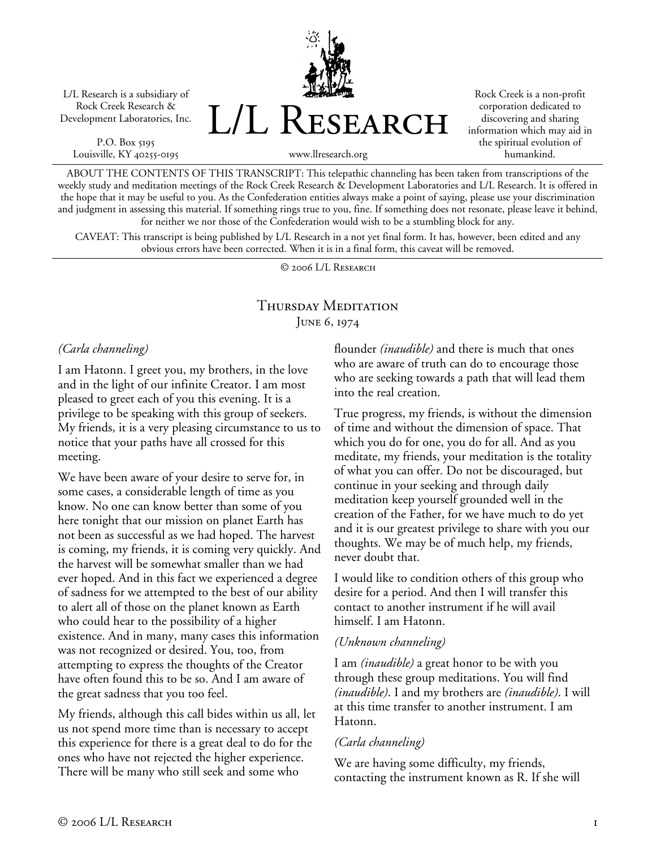L/L Research is a subsidiary of Rock Creek Research & Development Laboratories, Inc.

P.O. Box 5195 Louisville, KY 40255-0195 L/L Research

Rock Creek is a non-profit corporation dedicated to discovering and sharing information which may aid in the spiritual evolution of humankind.

www.llresearch.org

ABOUT THE CONTENTS OF THIS TRANSCRIPT: This telepathic channeling has been taken from transcriptions of the weekly study and meditation meetings of the Rock Creek Research & Development Laboratories and L/L Research. It is offered in the hope that it may be useful to you. As the Confederation entities always make a point of saying, please use your discrimination and judgment in assessing this material. If something rings true to you, fine. If something does not resonate, please leave it behind, for neither we nor those of the Confederation would wish to be a stumbling block for any.

CAVEAT: This transcript is being published by L/L Research in a not yet final form. It has, however, been edited and any obvious errors have been corrected. When it is in a final form, this caveat will be removed.

© 2006 L/L Research

# Thursday Meditation JUNE 6, 1974

#### *(Carla channeling)*

I am Hatonn. I greet you, my brothers, in the love and in the light of our infinite Creator. I am most pleased to greet each of you this evening. It is a privilege to be speaking with this group of seekers. My friends, it is a very pleasing circumstance to us to notice that your paths have all crossed for this meeting.

We have been aware of your desire to serve for, in some cases, a considerable length of time as you know. No one can know better than some of you here tonight that our mission on planet Earth has not been as successful as we had hoped. The harvest is coming, my friends, it is coming very quickly. And the harvest will be somewhat smaller than we had ever hoped. And in this fact we experienced a degree of sadness for we attempted to the best of our ability to alert all of those on the planet known as Earth who could hear to the possibility of a higher existence. And in many, many cases this information was not recognized or desired. You, too, from attempting to express the thoughts of the Creator have often found this to be so. And I am aware of the great sadness that you too feel.

My friends, although this call bides within us all, let us not spend more time than is necessary to accept this experience for there is a great deal to do for the ones who have not rejected the higher experience. There will be many who still seek and some who

flounder *(inaudible)* and there is much that ones who are aware of truth can do to encourage those who are seeking towards a path that will lead them into the real creation.

True progress, my friends, is without the dimension of time and without the dimension of space. That which you do for one, you do for all. And as you meditate, my friends, your meditation is the totality of what you can offer. Do not be discouraged, but continue in your seeking and through daily meditation keep yourself grounded well in the creation of the Father, for we have much to do yet and it is our greatest privilege to share with you our thoughts. We may be of much help, my friends, never doubt that.

I would like to condition others of this group who desire for a period. And then I will transfer this contact to another instrument if he will avail himself. I am Hatonn.

## *(Unknown channeling)*

I am *(inaudible)* a great honor to be with you through these group meditations. You will find *(inaudible)*. I and my brothers are *(inaudible)*. I will at this time transfer to another instrument. I am Hatonn.

## *(Carla channeling)*

We are having some difficulty, my friends, contacting the instrument known as R. If she will